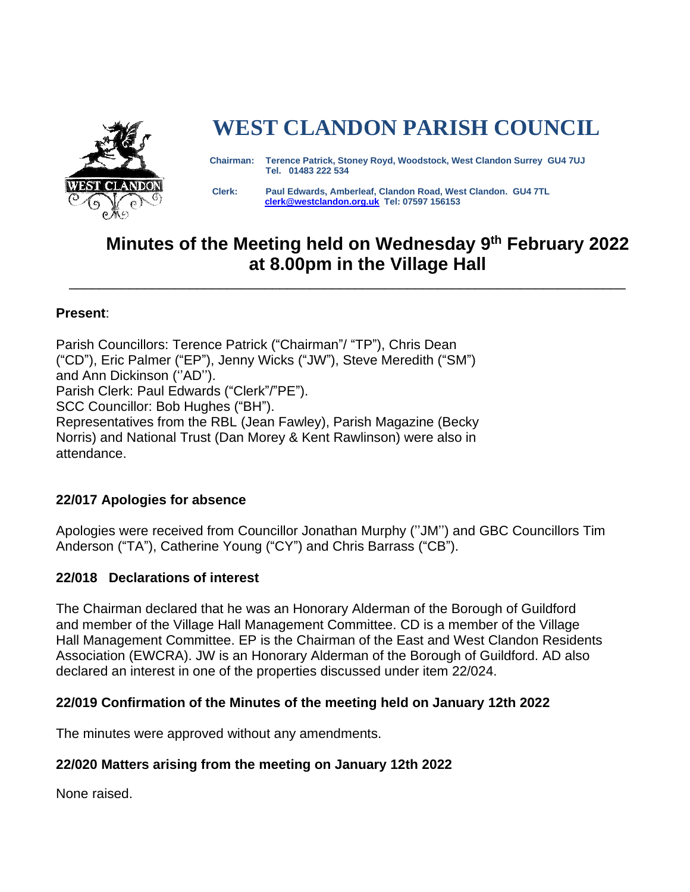

# **WEST CLANDON PARISH COUNCIL**

 **Chairman: Terence Patrick, Stoney Royd, Woodstock, West Clandon Surrey GU4 7UJ Tel. 01483 222 534** 

 **Clerk: Paul Edwards, Amberleaf, Clandon Road, West Clandon. GU4 7TL [clerk@westclandon.org.uk](mailto:clerk@westclandon.org.uk) Tel: 07597 156153**

# **Minutes of the Meeting held on Wednesday 9 th February 2022 at 8.00pm in the Village Hall**

\_\_\_\_\_\_\_\_\_\_\_\_\_\_\_\_\_\_\_\_\_\_\_\_\_\_\_\_\_\_\_\_\_\_\_\_\_\_\_\_\_\_\_\_\_\_\_\_\_\_\_\_\_\_\_\_\_\_\_\_\_\_\_\_\_\_\_\_\_\_\_\_\_\_

#### **Present**:

Parish Councillors: Terence Patrick ("Chairman"/ "TP"), Chris Dean ("CD"), Eric Palmer ("EP"), Jenny Wicks ("JW"), Steve Meredith ("SM") and Ann Dickinson (''AD''). Parish Clerk: Paul Edwards ("Clerk"/"PE"). SCC Councillor: Bob Hughes ("BH"). Representatives from the RBL (Jean Fawley), Parish Magazine (Becky Norris) and National Trust (Dan Morey & Kent Rawlinson) were also in attendance.

#### **22/017 Apologies for absence**

Apologies were received from Councillor Jonathan Murphy (''JM'') and GBC Councillors Tim Anderson ("TA"), Catherine Young ("CY") and Chris Barrass ("CB").

#### **22/018 Declarations of interest**

The Chairman declared that he was an Honorary Alderman of the Borough of Guildford and member of the Village Hall Management Committee. CD is a member of the Village Hall Management Committee. EP is the Chairman of the East and West Clandon Residents Association (EWCRA). JW is an Honorary Alderman of the Borough of Guildford. AD also declared an interest in one of the properties discussed under item 22/024.

#### **22/019 Confirmation of the Minutes of the meeting held on January 12th 2022**

The minutes were approved without any amendments.

#### **22/020 Matters arising from the meeting on January 12th 2022**

None raised.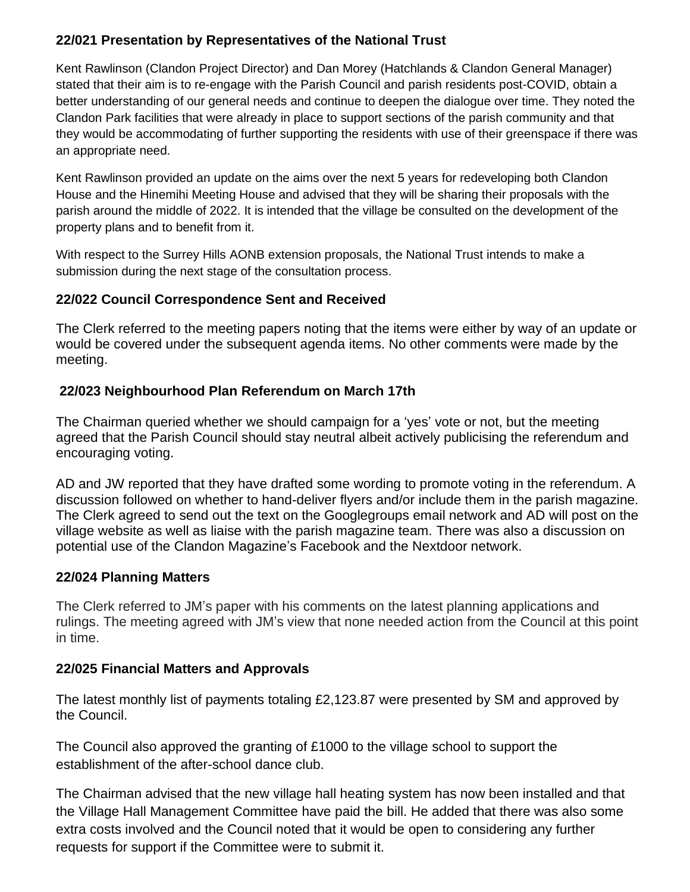## **22/021 Presentation by Representatives of the National Trust**

Kent Rawlinson (Clandon Project Director) and Dan Morey (Hatchlands & Clandon General Manager) stated that their aim is to re-engage with the Parish Council and parish residents post-COVID, obtain a better understanding of our general needs and continue to deepen the dialogue over time. They noted the Clandon Park facilities that were already in place to support sections of the parish community and that they would be accommodating of further supporting the residents with use of their greenspace if there was an appropriate need.

Kent Rawlinson provided an update on the aims over the next 5 years for redeveloping both Clandon House and the Hinemihi Meeting House and advised that they will be sharing their proposals with the parish around the middle of 2022. It is intended that the village be consulted on the development of the property plans and to benefit from it.

With respect to the Surrey Hills AONB extension proposals, the National Trust intends to make a submission during the next stage of the consultation process.

#### **22/022 Council Correspondence Sent and Received**

The Clerk referred to the meeting papers noting that the items were either by way of an update or would be covered under the subsequent agenda items. No other comments were made by the meeting.

#### **22/023 Neighbourhood Plan Referendum on March 17th**

The Chairman queried whether we should campaign for a 'yes' vote or not, but the meeting agreed that the Parish Council should stay neutral albeit actively publicising the referendum and encouraging voting.

AD and JW reported that they have drafted some wording to promote voting in the referendum. A discussion followed on whether to hand-deliver flyers and/or include them in the parish magazine. The Clerk agreed to send out the text on the Googlegroups email network and AD will post on the village website as well as liaise with the parish magazine team. There was also a discussion on potential use of the Clandon Magazine's Facebook and the Nextdoor network.

#### **22/024 Planning Matters**

The Clerk referred to JM's paper with his comments on the latest planning applications and rulings. The meeting agreed with JM's view that none needed action from the Council at this point in time.

#### **22/025 Financial Matters and Approvals**

The latest monthly list of payments totaling £2,123.87 were presented by SM and approved by the Council.

The Council also approved the granting of £1000 to the village school to support the establishment of the after-school dance club.

The Chairman advised that the new village hall heating system has now been installed and that the Village Hall Management Committee have paid the bill. He added that there was also some extra costs involved and the Council noted that it would be open to considering any further requests for support if the Committee were to submit it.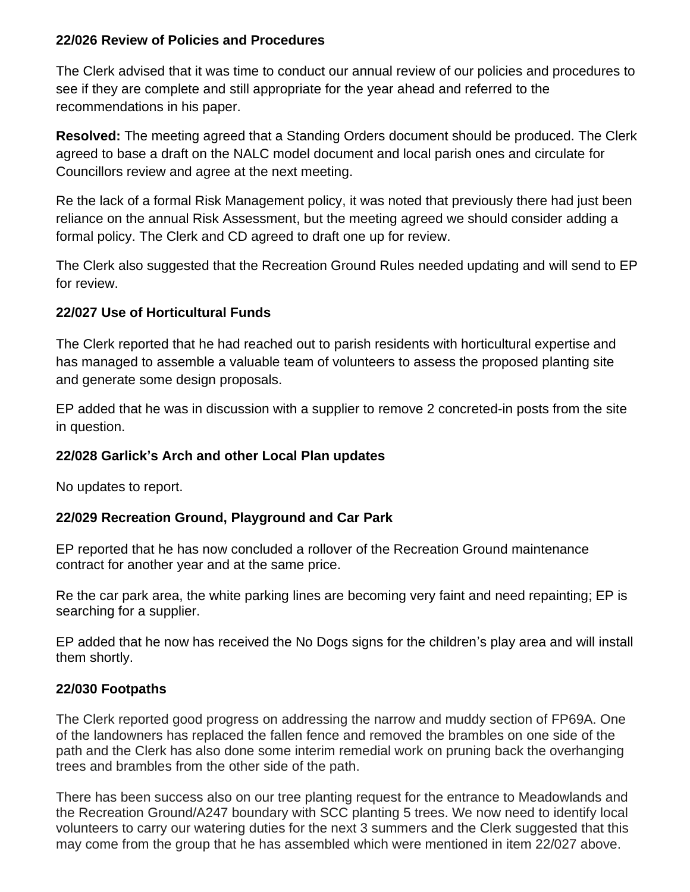#### **22/026 Review of Policies and Procedures**

The Clerk advised that it was time to conduct our annual review of our policies and procedures to see if they are complete and still appropriate for the year ahead and referred to the recommendations in his paper.

**Resolved:** The meeting agreed that a Standing Orders document should be produced. The Clerk agreed to base a draft on the NALC model document and local parish ones and circulate for Councillors review and agree at the next meeting.

Re the lack of a formal Risk Management policy, it was noted that previously there had just been reliance on the annual Risk Assessment, but the meeting agreed we should consider adding a formal policy. The Clerk and CD agreed to draft one up for review.

The Clerk also suggested that the Recreation Ground Rules needed updating and will send to EP for review.

#### **22/027 Use of Horticultural Funds**

The Clerk reported that he had reached out to parish residents with horticultural expertise and has managed to assemble a valuable team of volunteers to assess the proposed planting site and generate some design proposals.

EP added that he was in discussion with a supplier to remove 2 concreted-in posts from the site in question.

#### **22/028 Garlick's Arch and other Local Plan updates**

No updates to report.

#### **22/029 Recreation Ground, Playground and Car Park**

EP reported that he has now concluded a rollover of the Recreation Ground maintenance contract for another year and at the same price.

Re the car park area, the white parking lines are becoming very faint and need repainting; EP is searching for a supplier.

EP added that he now has received the No Dogs signs for the children's play area and will install them shortly.

#### **22/030 Footpaths**

The Clerk reported good progress on addressing the narrow and muddy section of FP69A. One of the landowners has replaced the fallen fence and removed the brambles on one side of the path and the Clerk has also done some interim remedial work on pruning back the overhanging trees and brambles from the other side of the path.

There has been success also on our tree planting request for the entrance to Meadowlands and the Recreation Ground/A247 boundary with SCC planting 5 trees. We now need to identify local volunteers to carry our watering duties for the next 3 summers and the Clerk suggested that this may come from the group that he has assembled which were mentioned in item 22/027 above.